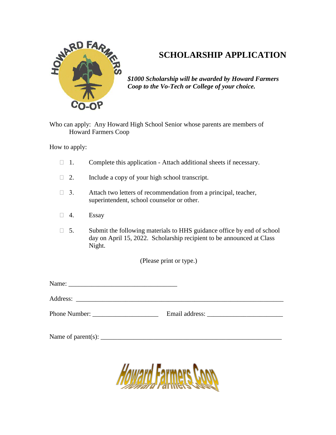

## **SCHOLARSHIP APPLICATION**

*\$1000 Scholarship will be awarded by Howard Farmers Coop to the Vo-Tech or College of your choice.*

Who can apply: Any Howard High School Senior whose parents are members of Howard Farmers Coop

How to apply:

- $\Box$  1. Complete this application Attach additional sheets if necessary.
- $\Box$  2. Include a copy of your high school transcript.
- $\Box$  3. Attach two letters of recommendation from a principal, teacher, superintendent, school counselor or other.
- $\Box$  4. Essay
- $\Box$  5. Submit the following materials to HHS guidance office by end of school day on April 15, 2022. Scholarship recipient to be announced at Class Night.

(Please print or type.)

Name: \_\_\_\_\_\_\_\_\_\_\_\_\_\_\_\_\_\_\_\_\_\_\_\_\_\_\_\_\_\_\_\_\_

Address: \_\_\_\_\_\_\_\_\_\_\_\_\_\_\_\_\_\_\_\_\_\_\_\_\_\_\_\_\_\_\_\_\_\_\_\_\_\_\_\_\_\_\_\_\_\_\_\_\_\_\_\_\_\_\_\_\_\_\_\_\_\_\_

Phone Number: \_\_\_\_\_\_\_\_\_\_\_\_\_\_\_\_\_\_\_\_ Email address: \_\_\_\_\_\_\_\_\_\_\_\_\_\_\_\_\_\_\_\_\_\_\_

Name of parent(s):  $\Box$